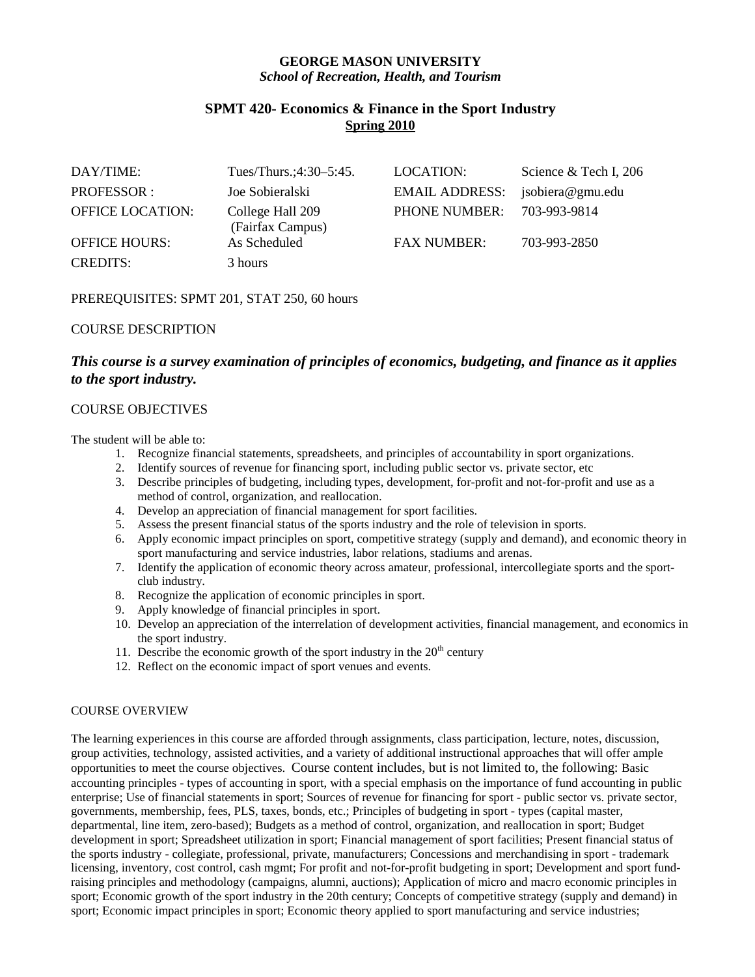## **GEORGE MASON UNIVERSITY** *School of Recreation, Health, and Tourism*

## **SPMT 420- Economics & Finance in the Sport Industry Spring 2010**

| DAY/TIME:               | Tues/Thurs.;4:30–5:45.               | LOCATION:             | Science & Tech I, 206 |
|-------------------------|--------------------------------------|-----------------------|-----------------------|
| <b>PROFESSOR:</b>       | Joe Sobieralski                      | <b>EMAIL ADDRESS:</b> | jsobiera@gmu.edu      |
| <b>OFFICE LOCATION:</b> | College Hall 209<br>(Fairfax Campus) | <b>PHONE NUMBER:</b>  | 703-993-9814          |
| <b>OFFICE HOURS:</b>    | As Scheduled                         | <b>FAX NUMBER:</b>    | 703-993-2850          |
| <b>CREDITS:</b>         | 3 hours                              |                       |                       |

## PREREQUISITES: SPMT 201, STAT 250, 60 hours

## COURSE DESCRIPTION

# *This course is a survey examination of principles of economics, budgeting, and finance as it applies to the sport industry.*

## COURSE OBJECTIVES

The student will be able to:

- 1. Recognize financial statements, spreadsheets, and principles of accountability in sport organizations.
- 2. Identify sources of revenue for financing sport, including public sector vs. private sector, etc
- 3. Describe principles of budgeting, including types, development, for-profit and not-for-profit and use as a method of control, organization, and reallocation.
- 4. Develop an appreciation of financial management for sport facilities.
- 5. Assess the present financial status of the sports industry and the role of television in sports.
- 6. Apply economic impact principles on sport, competitive strategy (supply and demand), and economic theory in sport manufacturing and service industries, labor relations, stadiums and arenas.
- 7. Identify the application of economic theory across amateur, professional, intercollegiate sports and the sportclub industry.
- 8. Recognize the application of economic principles in sport.
- 9. Apply knowledge of financial principles in sport.
- 10. Develop an appreciation of the interrelation of development activities, financial management, and economics in the sport industry.
- 11. Describe the economic growth of the sport industry in the  $20<sup>th</sup>$  century
- 12. Reflect on the economic impact of sport venues and events.

#### COURSE OVERVIEW

The learning experiences in this course are afforded through assignments, class participation, lecture, notes, discussion, group activities, technology, assisted activities, and a variety of additional instructional approaches that will offer ample opportunities to meet the course objectives. Course content includes, but is not limited to, the following: Basic accounting principles - types of accounting in sport, with a special emphasis on the importance of fund accounting in public enterprise; Use of financial statements in sport; Sources of revenue for financing for sport - public sector vs. private sector, governments, membership, fees, PLS, taxes, bonds, etc.; Principles of budgeting in sport - types (capital master, departmental, line item, zero-based); Budgets as a method of control, organization, and reallocation in sport; Budget development in sport; Spreadsheet utilization in sport; Financial management of sport facilities; Present financial status of the sports industry - collegiate, professional, private, manufacturers; Concessions and merchandising in sport - trademark licensing, inventory, cost control, cash mgmt; For profit and not-for-profit budgeting in sport; Development and sport fundraising principles and methodology (campaigns, alumni, auctions); Application of micro and macro economic principles in sport; Economic growth of the sport industry in the 20th century; Concepts of competitive strategy (supply and demand) in sport; Economic impact principles in sport; Economic theory applied to sport manufacturing and service industries;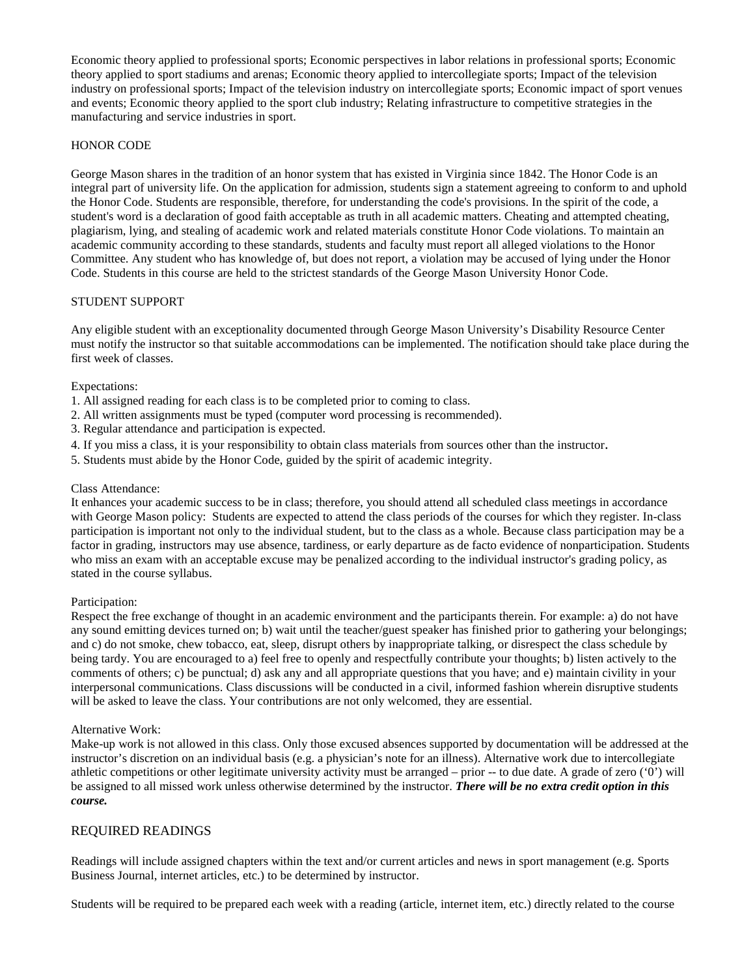Economic theory applied to professional sports; Economic perspectives in labor relations in professional sports; Economic theory applied to sport stadiums and arenas; Economic theory applied to intercollegiate sports; Impact of the television industry on professional sports; Impact of the television industry on intercollegiate sports; Economic impact of sport venues and events; Economic theory applied to the sport club industry; Relating infrastructure to competitive strategies in the manufacturing and service industries in sport.

### HONOR CODE

George Mason shares in the tradition of an honor system that has existed in Virginia since 1842. The Honor Code is an integral part of university life. On the application for admission, students sign a statement agreeing to conform to and uphold the Honor Code. Students are responsible, therefore, for understanding the code's provisions. In the spirit of the code, a student's word is a declaration of good faith acceptable as truth in all academic matters. Cheating and attempted cheating, plagiarism, lying, and stealing of academic work and related materials constitute Honor Code violations. To maintain an academic community according to these standards, students and faculty must report all alleged violations to the Honor Committee. Any student who has knowledge of, but does not report, a violation may be accused of lying under the Honor Code. Students in this course are held to the strictest standards of the George Mason University Honor Code.

### STUDENT SUPPORT

Any eligible student with an exceptionality documented through George Mason University's Disability Resource Center must notify the instructor so that suitable accommodations can be implemented. The notification should take place during the first week of classes.

#### Expectations:

- 1. All assigned reading for each class is to be completed prior to coming to class.
- 2. All written assignments must be typed (computer word processing is recommended).
- 3. Regular attendance and participation is expected.
- 4. If you miss a class, it is your responsibility to obtain class materials from sources other than the instructor.
- 5. Students must abide by the Honor Code, guided by the spirit of academic integrity.

#### Class Attendance:

It enhances your academic success to be in class; therefore, you should attend all scheduled class meetings in accordance with George Mason policy: Students are expected to attend the class periods of the courses for which they register. In-class participation is important not only to the individual student, but to the class as a whole. Because class participation may be a factor in grading, instructors may use absence, tardiness, or early departure as de facto evidence of nonparticipation. Students who miss an exam with an acceptable excuse may be penalized according to the individual instructor's grading policy, as stated in the course syllabus.

#### Participation:

Respect the free exchange of thought in an academic environment and the participants therein. For example: a) do not have any sound emitting devices turned on; b) wait until the teacher/guest speaker has finished prior to gathering your belongings; and c) do not smoke, chew tobacco, eat, sleep, disrupt others by inappropriate talking, or disrespect the class schedule by being tardy. You are encouraged to a) feel free to openly and respectfully contribute your thoughts; b) listen actively to the comments of others; c) be punctual; d) ask any and all appropriate questions that you have; and e) maintain civility in your interpersonal communications. Class discussions will be conducted in a civil, informed fashion wherein disruptive students will be asked to leave the class. Your contributions are not only welcomed, they are essential.

#### Alternative Work:

Make-up work is not allowed in this class. Only those excused absences supported by documentation will be addressed at the instructor's discretion on an individual basis (e.g. a physician's note for an illness). Alternative work due to intercollegiate athletic competitions or other legitimate university activity must be arranged – prior -- to due date. A grade of zero ('0') will be assigned to all missed work unless otherwise determined by the instructor. *There will be no extra credit option in this course.*

## REQUIRED READINGS

Readings will include assigned chapters within the text and/or current articles and news in sport management (e.g. Sports Business Journal, internet articles, etc.) to be determined by instructor.

Students will be required to be prepared each week with a reading (article, internet item, etc.) directly related to the course